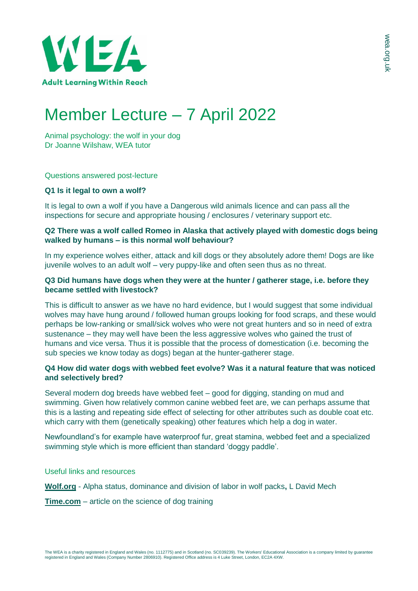

# Member Lecture – 7 April 2022

Animal psychology: the wolf in your dog Dr Joanne Wilshaw, WEA tutor

### Questions answered post-lecture

### **Q1 Is it legal to own a wolf?**

It is legal to own a wolf if you have a Dangerous wild animals licence and can pass all the inspections for secure and appropriate housing / enclosures / veterinary support etc.

# **Q2 There was a wolf called Romeo in Alaska that actively played with domestic dogs being walked by humans – is this normal wolf behaviour?**

In my experience wolves either, attack and kill dogs or they absolutely adore them! Dogs are like juvenile wolves to an adult wolf – very puppy-like and often seen thus as no threat.

## **Q3 Did humans have dogs when they were at the hunter / gatherer stage, i.e. before they became settled with livestock?**

This is difficult to answer as we have no hard evidence, but I would suggest that some individual wolves may have hung around / followed human groups looking for food scraps, and these would perhaps be low-ranking or small/sick wolves who were not great hunters and so in need of extra sustenance – they may well have been the less aggressive wolves who gained the trust of humans and vice versa. Thus it is possible that the process of domestication (i.e. becoming the sub species we know today as dogs) began at the hunter-gatherer stage.

## **Q4 How did water dogs with webbed feet evolve? Was it a natural feature that was noticed and selectively bred?**

Several modern dog breeds have webbed feet – good for digging, standing on mud and swimming. Given how relatively common canine webbed feet are, we can perhaps assume that this is a lasting and repeating side effect of selecting for other attributes such as double coat etc. which carry with them (genetically speaking) other features which help a dog in water.

Newfoundland's for example have waterproof fur, great stamina, webbed feet and a specialized swimming style which is more efficient than standard 'doggy paddle'.

Useful links and resources

**[Wolf.org](https://www.wolf.org/wp-content/uploads/2013/09/267alphastatus_english.pdf)** - Alpha status, dominance and division of labor in wolf packs**,** L David Mech

**[Time.com](https://time.com/5880219/science-of-dog-training/)** – article on the science of dog training